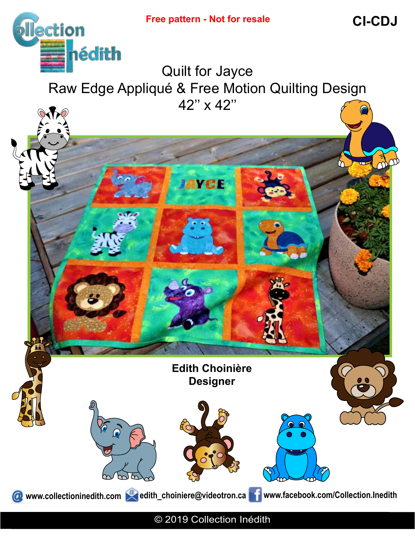**CI-CDJ**

M



Quilt for Jayce Raw Edge Appliqué & Free Motion Quilting Design 42'' x 42''

**JAYCE** 

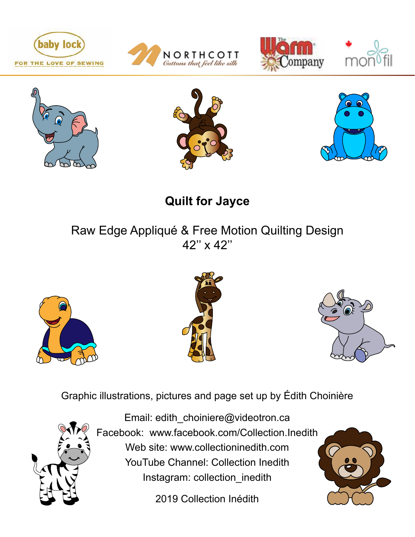













**Quilt for Jayce**

# Raw Edge Appliqué & Free Motion Quilting Design 42'' x 42''







Graphic illustrations, pictures and page set up by Édith Choinière



Email: edith\_choiniere@videotron.ca Facebook: www.facebook.com/Collection.Inedith Web site: www.collectioninedith.com YouTube Channel: Collection Inedith Instagram: collection\_inedith

2019 Collection Inédith

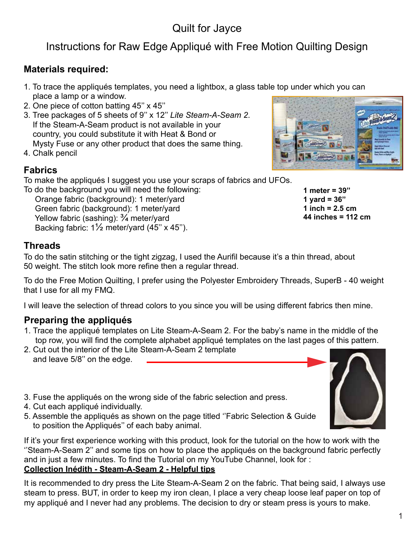## Quilt for Jayce

## Instructions for Raw Edge Appliqué with Free Motion Quilting Design

#### **Materials required:**

- 1. To trace the appliqués templates, you need a lightbox, a glass table top under which you can place a lamp or a window.
- 2. One piece of cotton batting 45'' x 45''
- 3. Tree packages of 5 sheets of 9'' x 12'' *Lite Steam-A-Seam 2*. If the Steam-A-Seam product is not available in your country, you could substitute it with Heat & Bond or Mysty Fuse or any other product that does the same thing.
- 4. Chalk pencil

#### **Fabrics**

To make the appliqués I suggest you use your scraps of fabrics and UFOs.

To do the background you will need the following: Orange fabric (background): 1 meter/yard Green fabric (background): 1 meter/yard Yellow fabric (sashing):  $\frac{3}{4}$  meter/yard Backing fabric: 1½ meter/yard (45'' x 45'').

#### **Threads**

To do the satin stitching or the tight zigzag, I used the Aurifil because it's a thin thread, about 50 weight. The stitch look more refine then a regular thread.

To do the Free Motion Quilting, I prefer using the Polyester Embroidery Threads, SuperB - 40 weight that I use for all my FMQ.

I will leave the selection of thread colors to you since you will be using different fabrics then mine.

#### **Preparing the appliqués**

- 1. Trace the appliqué templates on Lite Steam-A-Seam 2. For the baby's name in the middle of the top row, you will find the complete alphabet appliqué templates on the last pages of this pattern.
- 2. Cut out the interior of the Lite Steam-A-Seam 2 template and leave 5/8'' on the edge.
- 3. Fuse the appliqués on the wrong side of the fabric selection and press.
- 4. Cut each appliqué individually.
- 5. Assemble the appliqués as shown on the page titled ''Fabric Selection & Guide to position the Appliqués'' of each baby animal.

If it's your first experience working with this product, look for the tutorial on the how to work with the ''Steam-A-Seam 2'' and some tips on how to place the appliqués on the background fabric perfectly and in just a few minutes. To find the Tutorial on my YouTube Channel, look for :

#### **Collection Inédith - Steam-A-Seam 2 - Helpful tips**

It is recommended to dry press the Lite Steam-A-Seam 2 on the fabric. That being said, I always use steam to press. BUT, in order to keep my iron clean, I place a very cheap loose leaf paper on top of my appliqué and I never had any problems. The decision to dry or steam press is yours to make.



**1 meter = 39'' 1 yard = 36'' 1 inch = 2.5 cm 44 inches = 112 cm**

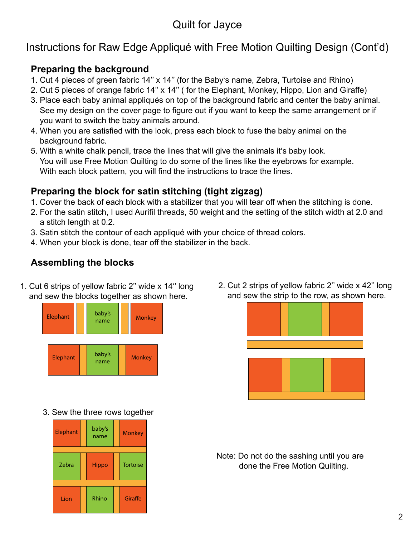## Quilt for Jayce

## Instructions for Raw Edge Appliqué with Free Motion Quilting Design (Cont'd)

#### **Preparing the background**

- 1. Cut 4 pieces of green fabric 14'' x 14'' (for the Baby's name, Zebra, Turtoise and Rhino)
- 2. Cut 5 pieces of orange fabric 14'' x 14'' ( for the Elephant, Monkey, Hippo, Lion and Giraffe)
- 3. Place each baby animal appliqués on top of the background fabric and center the baby animal. See my design on the cover page to figure out if you want to keep the same arrangement or if you want to switch the baby animals around.
- 4. When you are satisfied with the look, press each block to fuse the baby animal on the background fabric.
- 5. With a white chalk pencil, trace the lines that will give the animals it's baby look. You will use Free Motion Quilting to do some of the lines like the eyebrows for example. With each block pattern, you will find the instructions to trace the lines.

### **Preparing the block for satin stitching (tight zigzag)**

- 1. Cover the back of each block with a stabilizer that you will tear off when the stitching is done.
- 2. For the satin stitch, I used Aurifil threads, 50 weight and the setting of the stitch width at 2.0 and a stitch length at 0.2.
- 3. Satin stitch the contour of each appliqué with your choice of thread colors.
- 4. When your block is done, tear off the stabilizer in the back.

## **Assembling the blocks**

1. Cut 6 strips of yellow fabric 2'' wide x 14'' long and sew the blocks together as shown here.



2. Cut 2 strips of yellow fabric 2'' wide x 42'' long and sew the strip to the row, as shown here.



3. Sew the three rows together



Note: Do not do the sashing until you are done the Free Motion Quilting.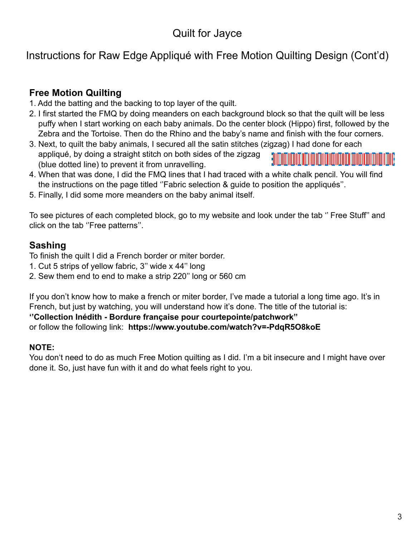## Instructions for Raw Edge Appliqué with Free Motion Quilting Design (Cont'd)

### **Free Motion Quilting**

- 1. Add the batting and the backing to top layer of the quilt.
- 2. I first started the FMQ by doing meanders on each background block so that the quilt will be less puffy when I start working on each baby animals. Do the center block (Hippo) first, followed by the Zebra and the Tortoise. Then do the Rhino and the baby's name and finish with the four corners.
- 3. Next, to quilt the baby animals, I secured all the satin stitches (zigzag) I had done for each appliqué, by doing a straight stitch on both sides of the zigzag <u> Elizio di Tolonio di Tolonio di Tolonio di Biblio di Biblio di Biblio di Biblio di Biblio di Biblio di Biblio</u> (blue dotted line) to prevent it from unravelling.
- 4. When that was done, I did the FMQ lines that I had traced with a white chalk pencil. You will find the instructions on the page titled ''Fabric selection & guide to position the appliqués''.
- 5. Finally, I did some more meanders on the baby animal itself.

To see pictures of each completed block, go to my website and look under the tab '' Free Stuff'' and click on the tab ''Free patterns''.

#### **Sashing**

To finish the quilt I did a French border or miter border.

- 1. Cut 5 strips of yellow fabric, 3'' wide x 44'' long
- 2. Sew them end to end to make a strip 220'' long or 560 cm

If you don't know how to make a french or miter border, I've made a tutorial a long time ago. It's in French, but just by watching, you will understand how it's done. The title of the tutorial is:

#### **''Collection Inédith - Bordure française pour courtepointe/patchwork''**

or follow the following link: **https://www.youtube.com/watch?v=-PdqR5O8koE**

#### **NOTE:**

You don't need to do as much Free Motion quilting as I did. I'm a bit insecure and I might have over done it. So, just have fun with it and do what feels right to you.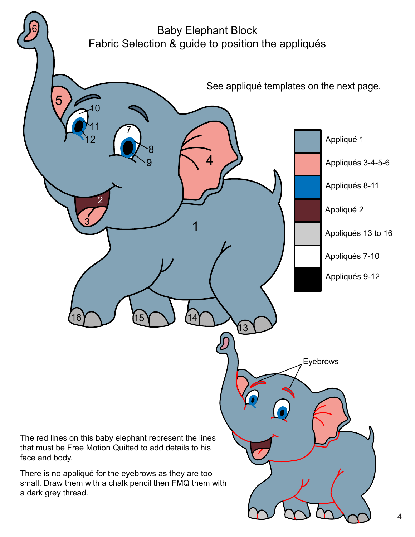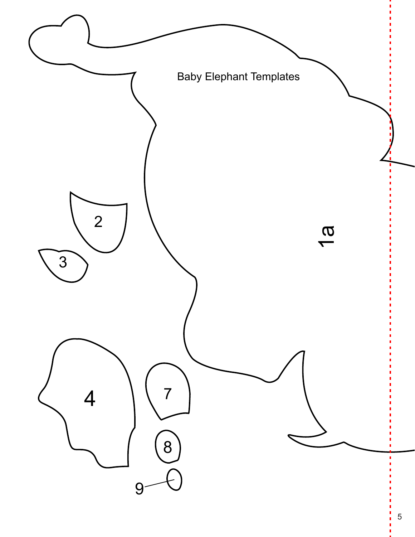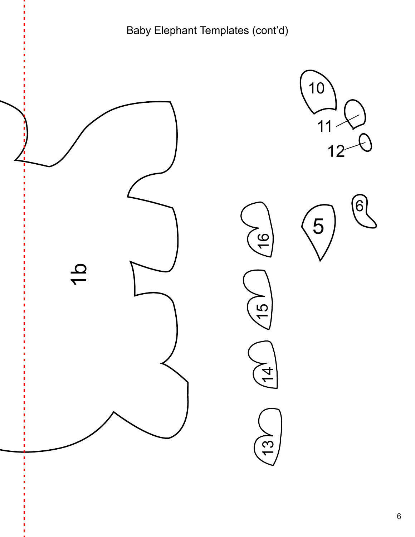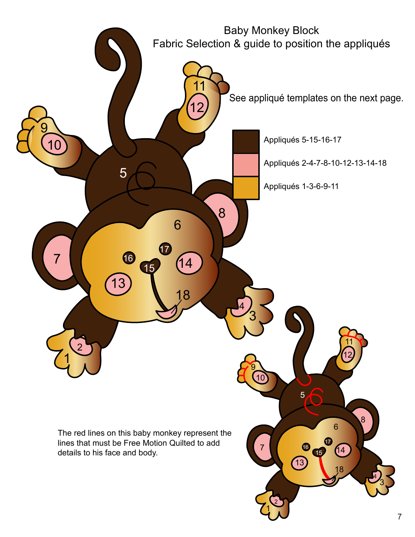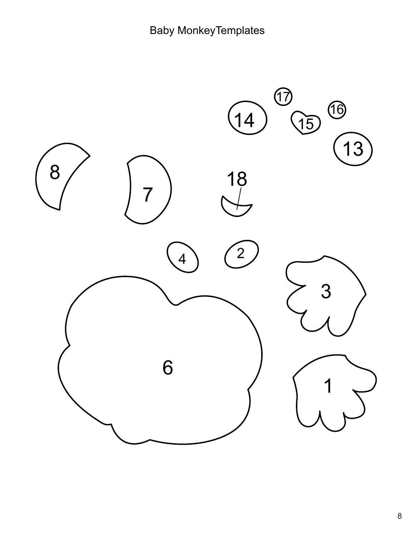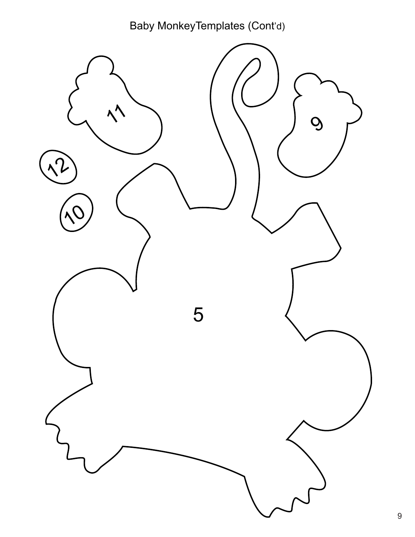Baby MonkeyTemplates (Cont'd)

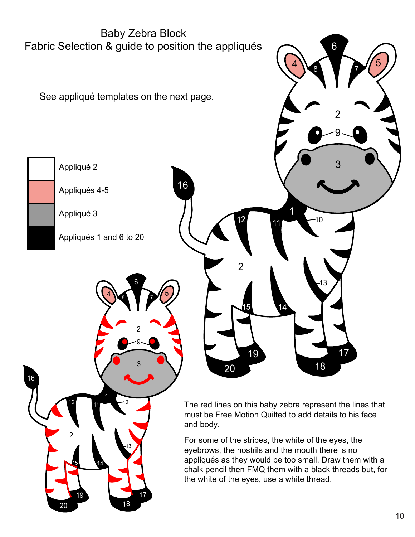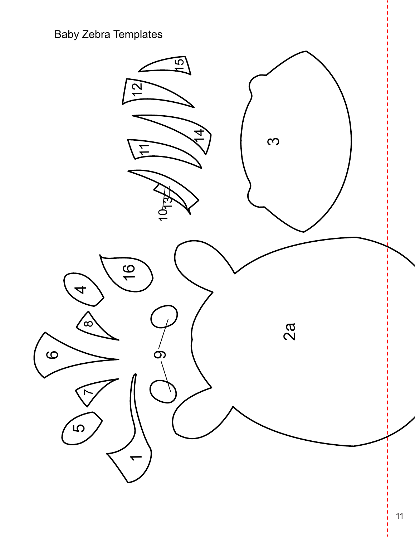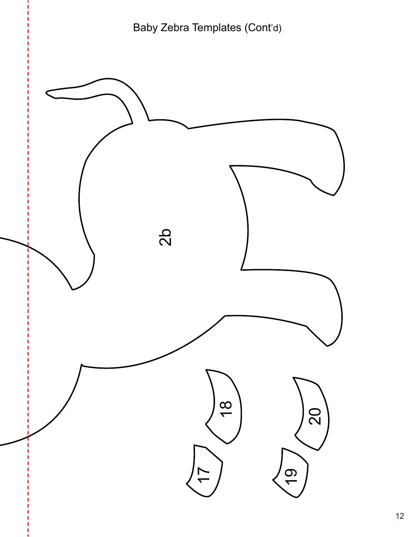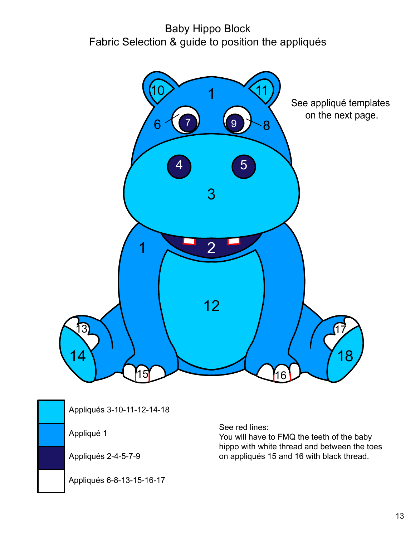## Baby Hippo Block Fabric Selection & guide to position the appliqués





Appliqués 3-10-11-12-14-18

Appliqué 1

Appliqués 2-4-5-7-9

Appliqués 6-8-13-15-16-17

See red lines:

You will have to FMQ the teeth of the baby hippo with white thread and between the toes on appliqués 15 and 16 with black thread.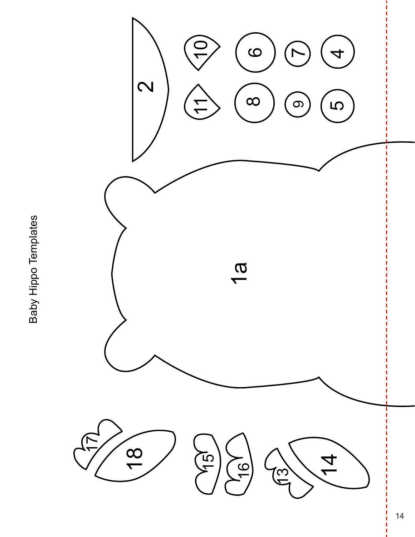Baby Hippo Templates Baby Hippo Templates

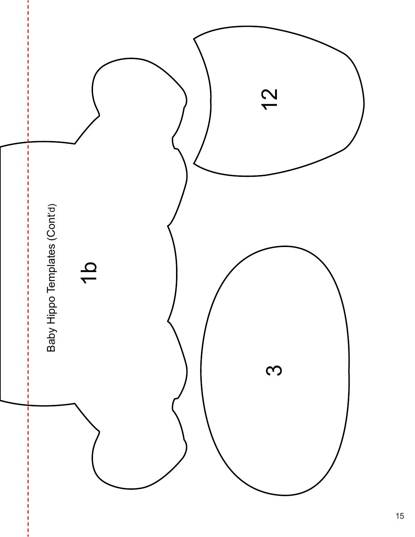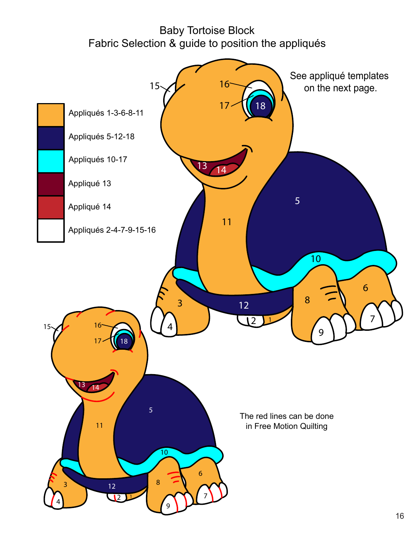## Baby Tortoise Block Fabric Selection & guide to position the appliqués

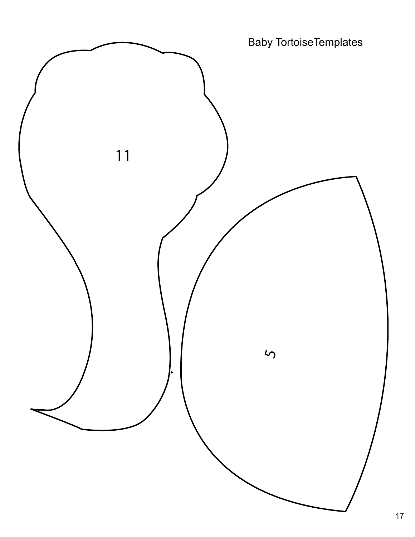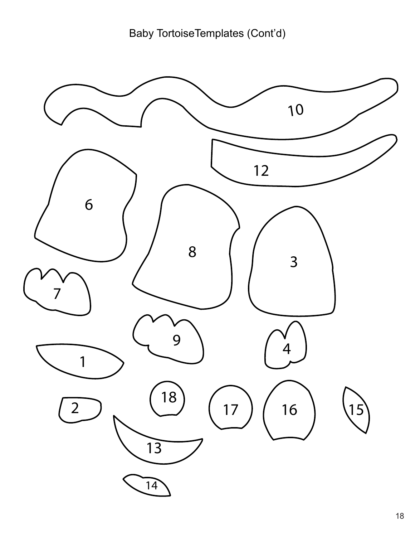Baby TortoiseTemplates (Cont'd)

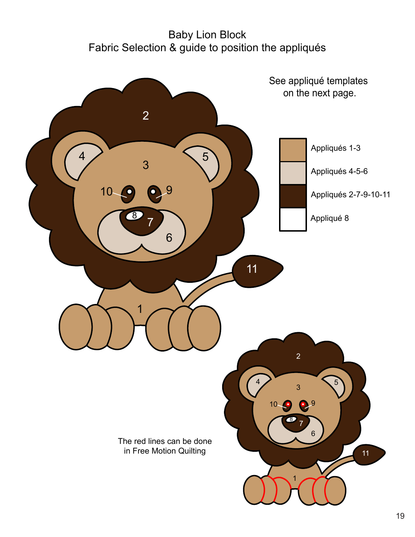# Appliqués 1-3 Appliqués 4-5-6 Appliqués 2-7-9-10-11 Appliqué 8  $3 \sqrt{5}$   $3 \sqrt{5}$  Baby Lion Block Fabric Selection & guide to position the appliqués The red lines can be done in Free Motion Quilting See appliqué templates on the next page.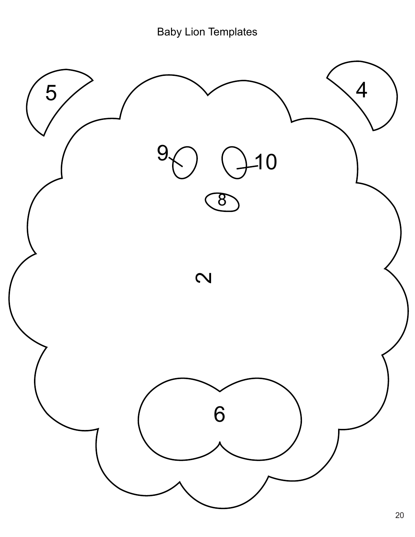Baby Lion Templates

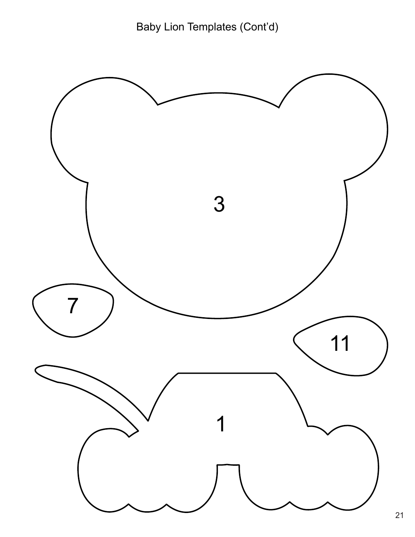Baby Lion Templates (Cont'd)

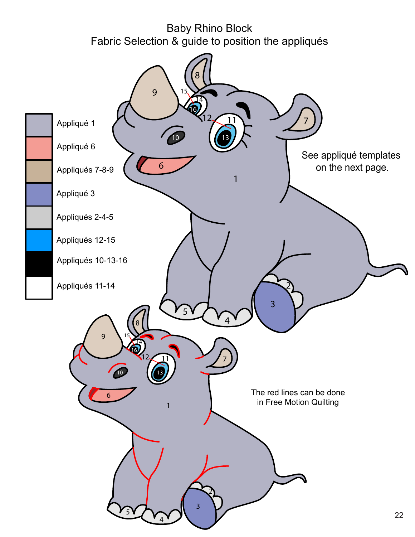## Baby Rhino Block Fabric Selection & guide to position the appliqués

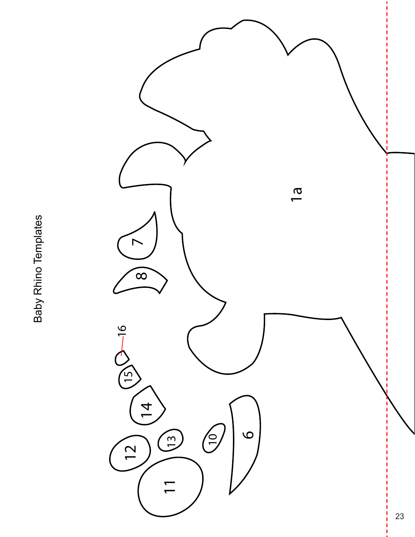Baby Rhino Templates Baby Rhino Templates

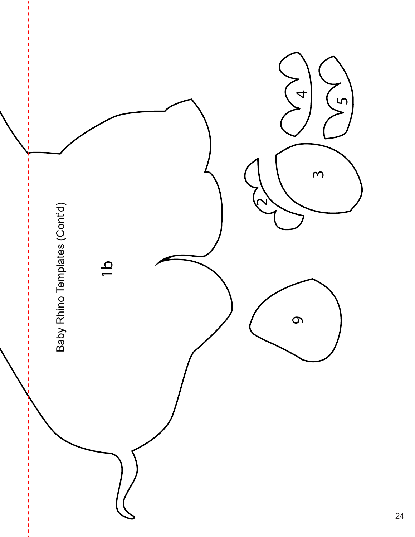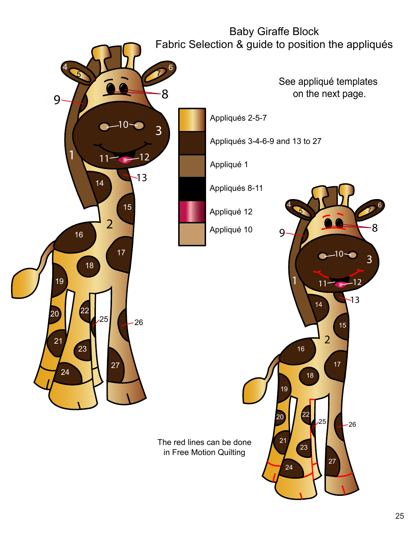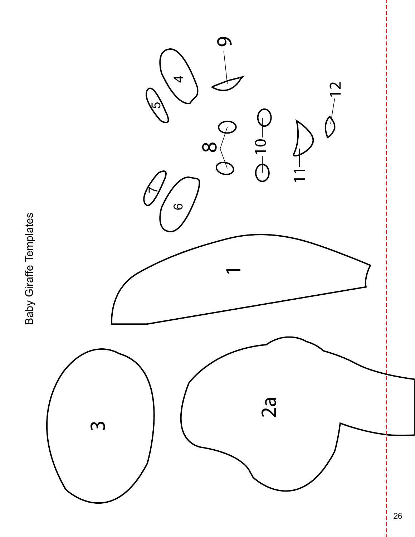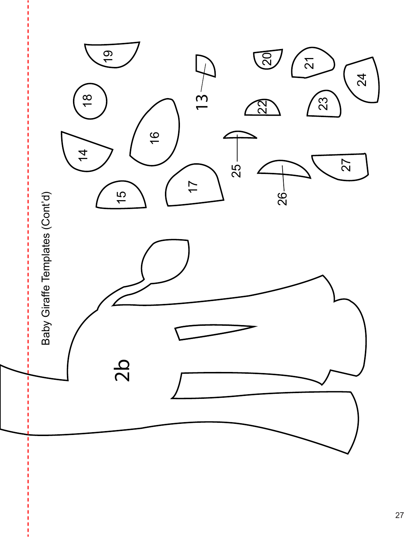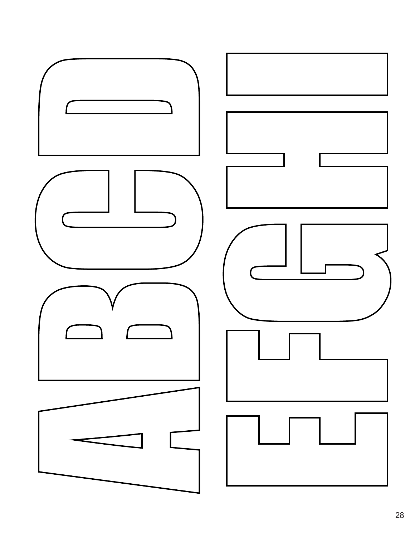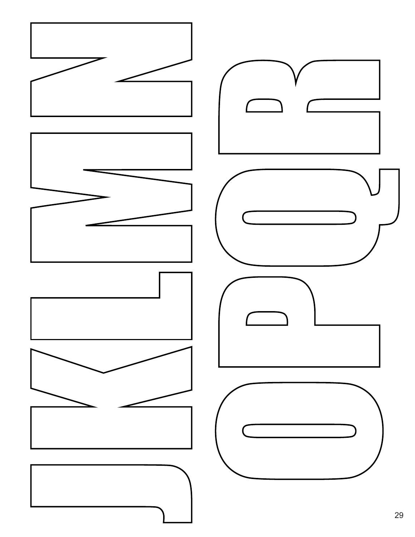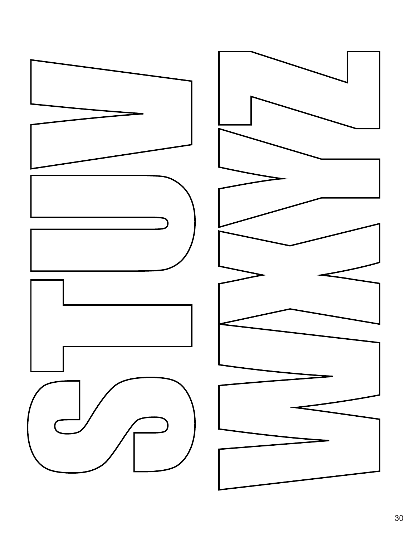